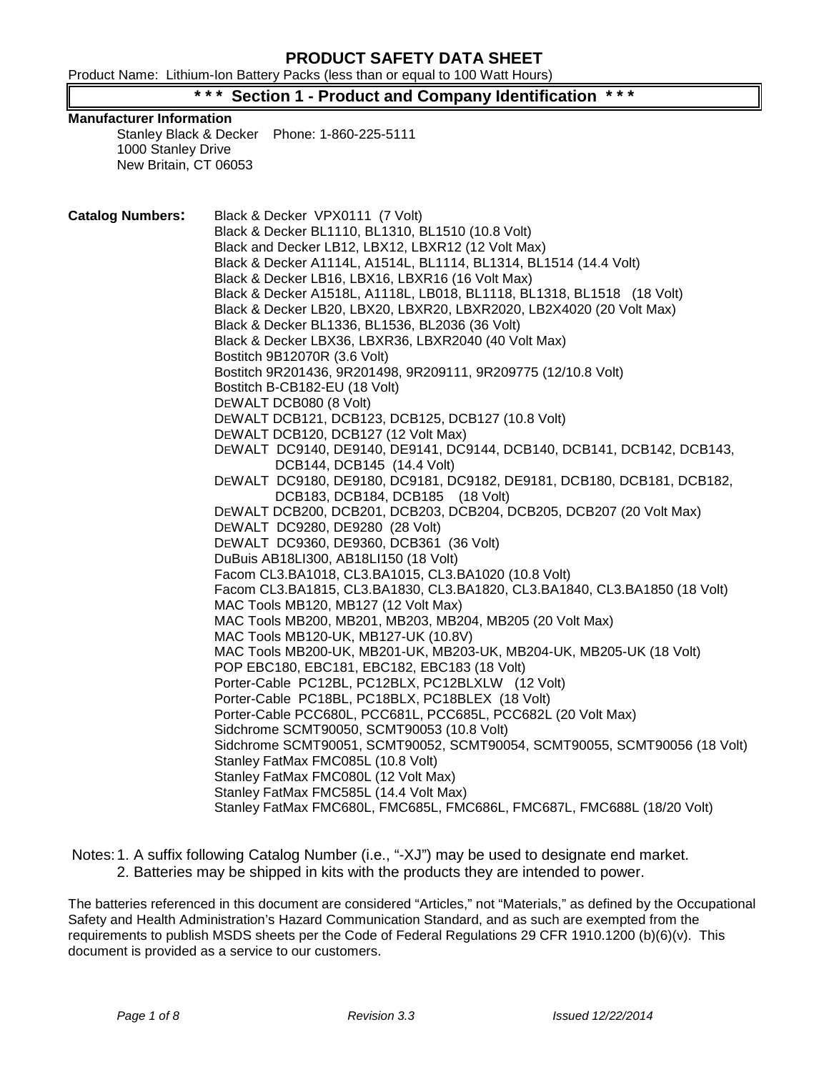Product Name: Lithium-Ion Battery Packs (less than or equal to 100 Watt Hours)

# **Section 1 - Product and Company Identification**

#### **Manufacturer Information**

Stanley Black & Decker Phone: 1-860-225-5111 1000 Stanley Drive New Britain, CT 06053

**Catalog Numbers:** Black & Decker VPX0111 (7 Volt) Black & Decker BL1110, BL1310, BL1510 (10.8 Volt) Black and Decker LB12, LBX12, LBXR12 (12 Volt Max) Black & Decker A1114L, A1514L, BL1114, BL1314, BL1514 (14.4 Volt) Black & Decker LB16, LBX16, LBXR16 (16 Volt Max) Black & Decker A1518L, A1118L, LB018, BL1118, BL1318, BL1518 (18 Volt) Black & Decker LB20, LBX20, LBXR20, LBXR2020, LB2X4020 (20 Volt Max) Black & Decker BL1336, BL1536, BL2036 (36 Volt) Black & Decker LBX36, LBXR36, LBXR2040 (40 Volt Max) Bostitch 9B12070R (3.6 Volt) Bostitch 9R201436, 9R201498, 9R209111, 9R209775 (12/10.8 Volt) Bostitch B-CB182-EU (18 Volt) DEWALT DCB080 (8 Volt) DEWALT DCB121, DCB123, DCB125, DCB127 (10.8 Volt) DEWALT DCB120, DCB127 (12 Volt Max) DEWALT DC9140, DE9140, DE9141, DC9144, DCB140, DCB141, DCB142, DCB143, DCB144, DCB145 (14.4 Volt) DEWALT DC9180, DE9180, DC9181, DC9182, DE9181, DCB180, DCB181, DCB182, DCB183, DCB184, DCB185 (18 Volt) DEWALT DCB200, DCB201, DCB203, DCB204, DCB205, DCB207 (20 Volt Max) DEWALT DC9280, DE9280 (28 Volt) DEWALT DC9360, DE9360, DCB361 (36 Volt) DuBuis AB18LI300, AB18LI150 (18 Volt) Facom CL3.BA1018, CL3.BA1015, CL3.BA1020 (10.8 Volt) Facom CL3.BA1815, CL3.BA1830, CL3.BA1820, CL3.BA1840, CL3.BA1850 (18 Volt) MAC Tools MB120, MB127 (12 Volt Max) MAC Tools MB200, MB201, MB203, MB204, MB205 (20 Volt Max) MAC Tools MB120-UK, MB127-UK (10.8V) MAC Tools MB200-UK, MB201-UK, MB203-UK, MB204-UK, MB205-UK (18 Volt) POP EBC180, EBC181, EBC182, EBC183 (18 Volt) Porter-Cable PC12BL, PC12BLX, PC12BLXLW (12 Volt) Porter-Cable PC18BL, PC18BLX, PC18BLEX (18 Volt) Porter-Cable PCC680L, PCC681L, PCC685L, PCC682L (20 Volt Max) Sidchrome SCMT90050, SCMT90053 (10.8 Volt) Sidchrome SCMT90051, SCMT90052, SCMT90054, SCMT90055, SCMT90056 (18 Volt) Stanley FatMax FMC085L (10.8 Volt) Stanley FatMax FMC080L (12 Volt Max) Stanley FatMax FMC585L (14.4 Volt Max) Stanley FatMax FMC680L, FMC685L, FMC686L, FMC687L, FMC688L (18/20 Volt)

Notes: 1. A suffix following Catalog Number (i.e., "-XJ") may be used to designate end market. 2. Batteries may be shipped in kits with the products they are intended to power.

The batteries referenced in this document are considered "Articles," not "Materials," as defined by the Occupational Safety and Health Administration's Hazard Communication Standard, and as such are exempted from the requirements to publish MSDS sheets per the Code of Federal Regulations 29 CFR 1910.1200 (b)(6)(v). This document is provided as a service to our customers.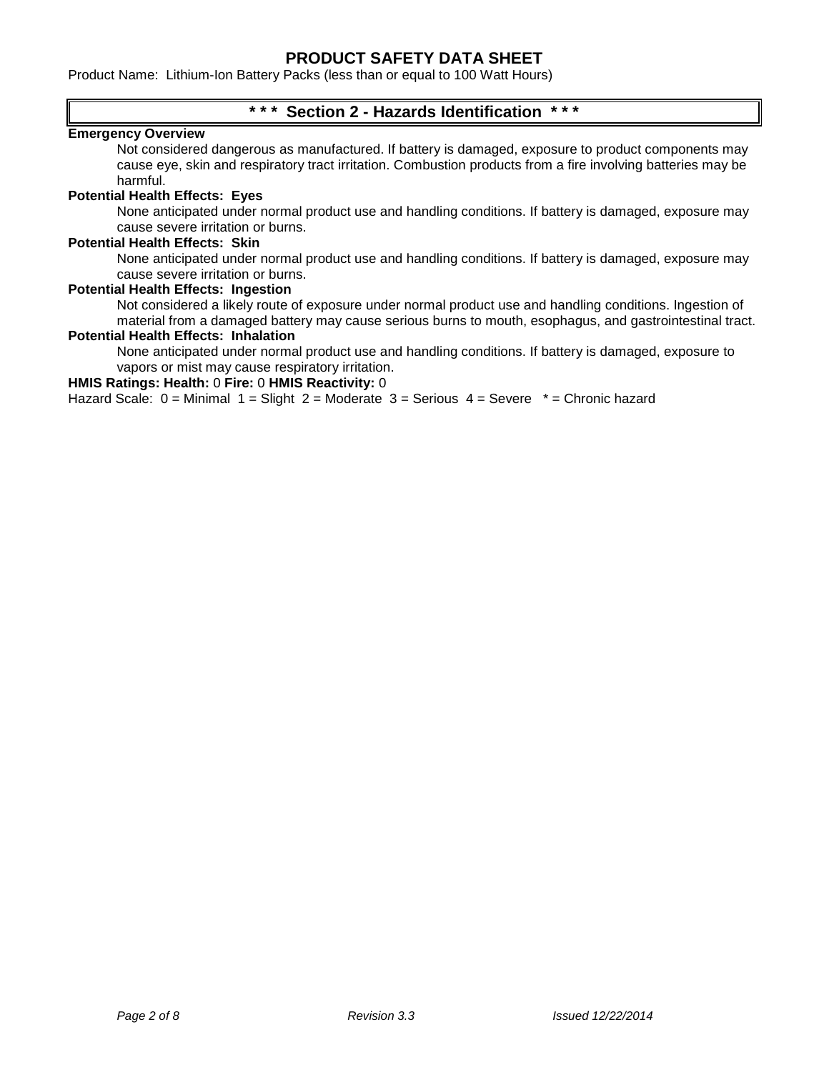Product Name: Lithium-Ion Battery Packs (less than or equal to 100 Watt Hours)

# **\* \* \* Section 2 - Hazards Identification \* \* \***

### **Emergency Overview**

Not considered dangerous as manufactured. If battery is damaged, exposure to product components may cause eye, skin and respiratory tract irritation. Combustion products from a fire involving batteries may be harmful.

#### **Potential Health Effects: Eyes**

None anticipated under normal product use and handling conditions. If battery is damaged, exposure may cause severe irritation or burns.

#### **Potential Health Effects: Skin**

None anticipated under normal product use and handling conditions. If battery is damaged, exposure may cause severe irritation or burns.

#### **Potential Health Effects: Ingestion**

Not considered a likely route of exposure under normal product use and handling conditions. Ingestion of material from a damaged battery may cause serious burns to mouth, esophagus, and gastrointestinal tract.

### **Potential Health Effects: Inhalation**

None anticipated under normal product use and handling conditions. If battery is damaged, exposure to vapors or mist may cause respiratory irritation.

#### **HMIS Ratings: Health:** 0 **Fire:** 0 **HMIS Reactivity:** 0

Hazard Scale:  $0 =$  Minimal  $1 =$  Slight  $2 =$  Moderate  $3 =$  Serious  $4 =$  Severe  $* =$  Chronic hazard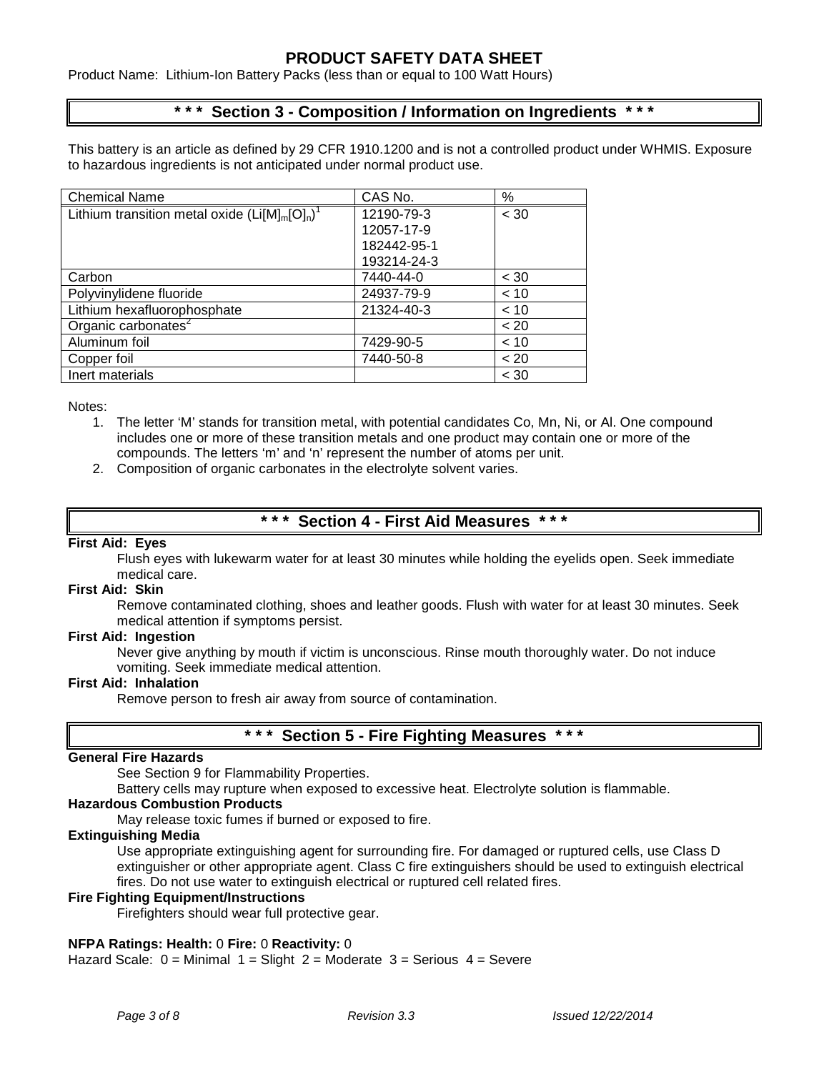Product Name: Lithium-Ion Battery Packs (less than or equal to 100 Watt Hours)

# **\* \* \* Section 3 - Composition / Information on Ingredients \* \* \***

This battery is an article as defined by 29 CFR 1910.1200 and is not a controlled product under WHMIS. Exposure to hazardous ingredients is not anticipated under normal product use.

| <b>Chemical Name</b>                              | CAS No.     | %      |
|---------------------------------------------------|-------------|--------|
| Lithium transition metal oxide $(Li[M]_m[O]_n)^T$ | 12190-79-3  | < 30   |
|                                                   | 12057-17-9  |        |
|                                                   | 182442-95-1 |        |
|                                                   | 193214-24-3 |        |
| Carbon                                            | 7440-44-0   | < 30   |
| Polyvinylidene fluoride                           | 24937-79-9  | < 10   |
| Lithium hexafluorophosphate                       | 21324-40-3  | < 10   |
| Organic carbonates <sup>2</sup>                   |             | < 20   |
| Aluminum foil                                     | 7429-90-5   | < 10   |
| Copper foil                                       | 7440-50-8   | ~< 20  |
| Inert materials                                   |             | $<$ 30 |

Notes:

- 1. The letter 'M' stands for transition metal, with potential candidates Co, Mn, Ni, or Al. One compound includes one or more of these transition metals and one product may contain one or more of the compounds. The letters 'm' and 'n' represent the number of atoms per unit.
- 2. Composition of organic carbonates in the electrolyte solvent varies.

### **\* \* \* Section 4 - First Aid Measures \* \* \***

#### **First Aid: Eyes**

Flush eyes with lukewarm water for at least 30 minutes while holding the eyelids open. Seek immediate medical care.

#### **First Aid: Skin**

Remove contaminated clothing, shoes and leather goods. Flush with water for at least 30 minutes. Seek medical attention if symptoms persist.

#### **First Aid: Ingestion**

Never give anything by mouth if victim is unconscious. Rinse mouth thoroughly water. Do not induce vomiting. Seek immediate medical attention.

#### **First Aid: Inhalation**

Remove person to fresh air away from source of contamination.

# **Section 5 - Fire Fighting Measures**

### **General Fire Hazards**

See Section 9 for Flammability Properties.

Battery cells may rupture when exposed to excessive heat. Electrolyte solution is flammable.

### **Hazardous Combustion Products**

May release toxic fumes if burned or exposed to fire.

### **Extinguishing Media**

Use appropriate extinguishing agent for surrounding fire. For damaged or ruptured cells, use Class D extinguisher or other appropriate agent. Class C fire extinguishers should be used to extinguish electrical fires. Do not use water to extinguish electrical or ruptured cell related fires.

#### **Fire Fighting Equipment/Instructions**

Firefighters should wear full protective gear.

### **NFPA Ratings: Health:** 0 **Fire:** 0 **Reactivity:** 0

Hazard Scale:  $0 =$  Minimal  $1 =$  Slight  $2 =$  Moderate  $3 =$  Serious  $4 =$  Severe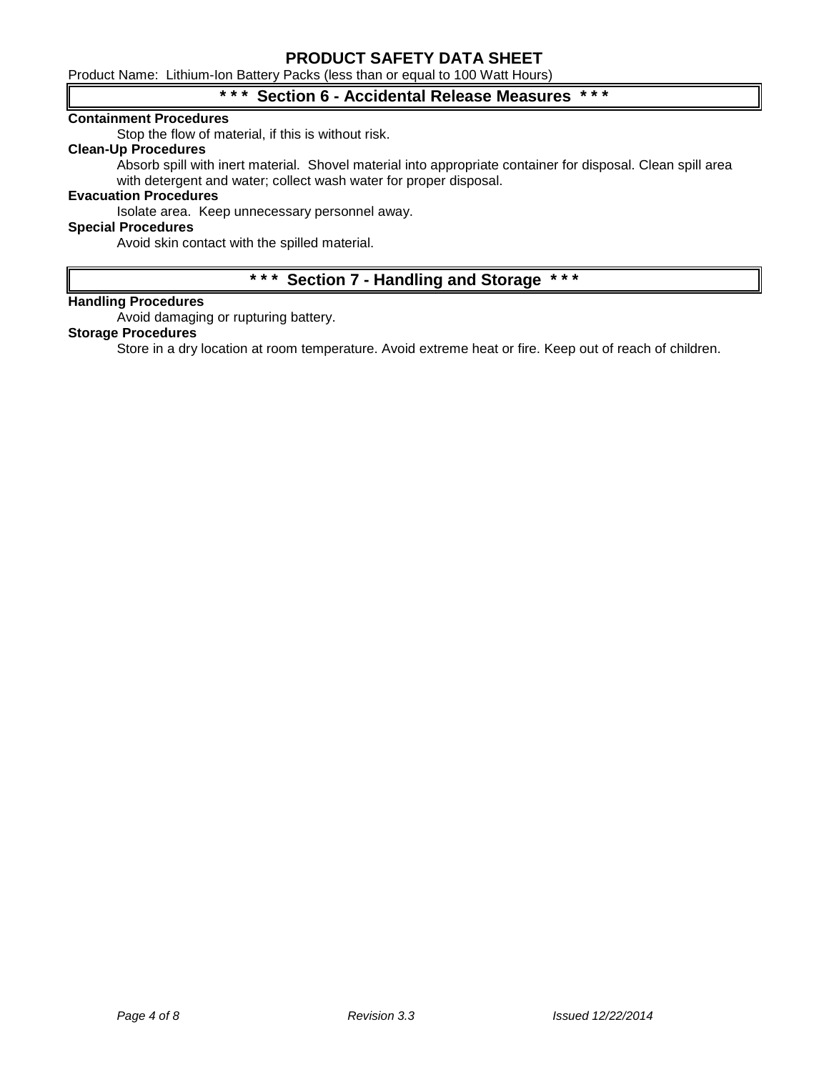Product Name: Lithium-Ion Battery Packs (less than or equal to 100 Watt Hours)

# **\* \* \* Section 6 - Accidental Release Measures \* \* \***

#### **Containment Procedures**

Stop the flow of material, if this is without risk.

## **Clean-Up Procedures**

Absorb spill with inert material. Shovel material into appropriate container for disposal. Clean spill area with detergent and water; collect wash water for proper disposal.

### **Evacuation Procedures**

Isolate area. Keep unnecessary personnel away.

### **Special Procedures**

Avoid skin contact with the spilled material.

# **\* \* \* Section 7 - Handling and Storage \* \* \***

### **Handling Procedures**

Avoid damaging or rupturing battery.

#### **Storage Procedures**

Store in a dry location at room temperature. Avoid extreme heat or fire. Keep out of reach of children.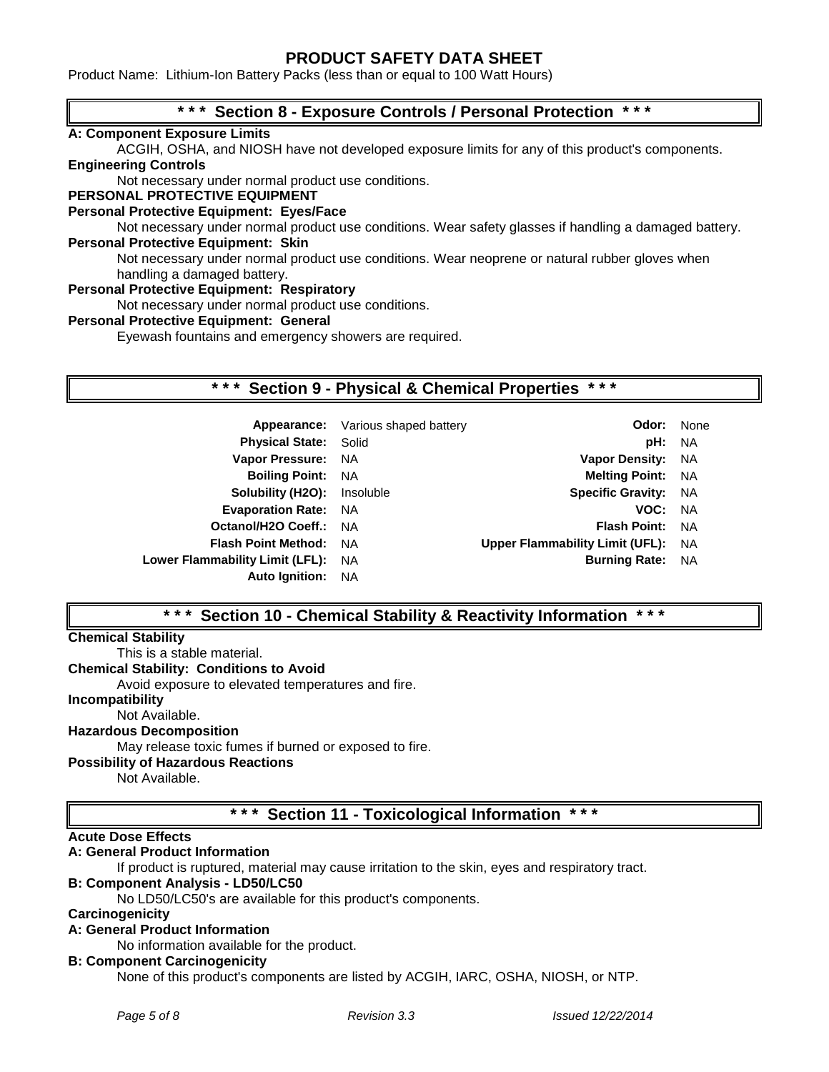Product Name: Lithium-Ion Battery Packs (less than or equal to 100 Watt Hours)

# **\* \* \* Section 8 - Exposure Controls / Personal Protection \* \* \***

### **A: Component Exposure Limits**

ACGIH, OSHA, and NIOSH have not developed exposure limits for any of this product's components. **Engineering Controls**

Not necessary under normal product use conditions.

### **PERSONAL PROTECTIVE EQUIPMENT**

### **Personal Protective Equipment: Eyes/Face**

Not necessary under normal product use conditions. Wear safety glasses if handling a damaged battery. **Personal Protective Equipment: Skin**

Not necessary under normal product use conditions. Wear neoprene or natural rubber gloves when handling a damaged battery.

#### **Personal Protective Equipment: Respiratory**

Not necessary under normal product use conditions.

### **Personal Protective Equipment: General**

Eyewash fountains and emergency showers are required.

# **\* \* \* Section 9 - Physical & Chemical Properties \* \* \***

| Appearance: Various shaped battery | Odor:                           | None |
|------------------------------------|---------------------------------|------|
| <b>Physical State: Solid</b>       | pH: NA                          |      |
| Vapor Pressure: NA                 | <b>Vapor Density:</b>           | NA.  |
| <b>Boiling Point: NA</b>           | <b>Melting Point: NA</b>        |      |
| <b>Solubility (H2O):</b> Insoluble | <b>Specific Gravity:</b>        | - NA |
| <b>Evaporation Rate: NA</b>        | VOC: NA                         |      |
| Octanol/H2O Coeff.: NA             | <b>Flash Point:</b>             | - NA |
| <b>Flash Point Method: NA</b>      | Upper Flammability Limit (UFL): | NA   |
| Lower Flammability Limit (LFL): NA | <b>Burning Rate:</b>            | NA   |
| <b>Auto Ignition: NA</b>           |                                 |      |
|                                    |                                 |      |

# **\* \* \* Section 10 - Chemical Stability & Reactivity Information \* \* \***

### **Chemical Stability**

This is a stable material.

**Chemical Stability: Conditions to Avoid**

Avoid exposure to elevated temperatures and fire.

**Incompatibility**

Not Available.

# **Hazardous Decomposition**

May release toxic fumes if burned or exposed to fire.

#### **Possibility of Hazardous Reactions**

Not Available.

# **\* \* \* Section 11 - Toxicological Information \* \* \***

#### **Acute Dose Effects**

## **A: General Product Information**

If product is ruptured, material may cause irritation to the skin, eyes and respiratory tract.

#### **B: Component Analysis - LD50/LC50**

No LD50/LC50's are available for this product's components.

### **Carcinogenicity**

# **A: General Product Information**

No information available for the product.

#### **B: Component Carcinogenicity**

None of this product's components are listed by ACGIH, IARC, OSHA, NIOSH, or NTP.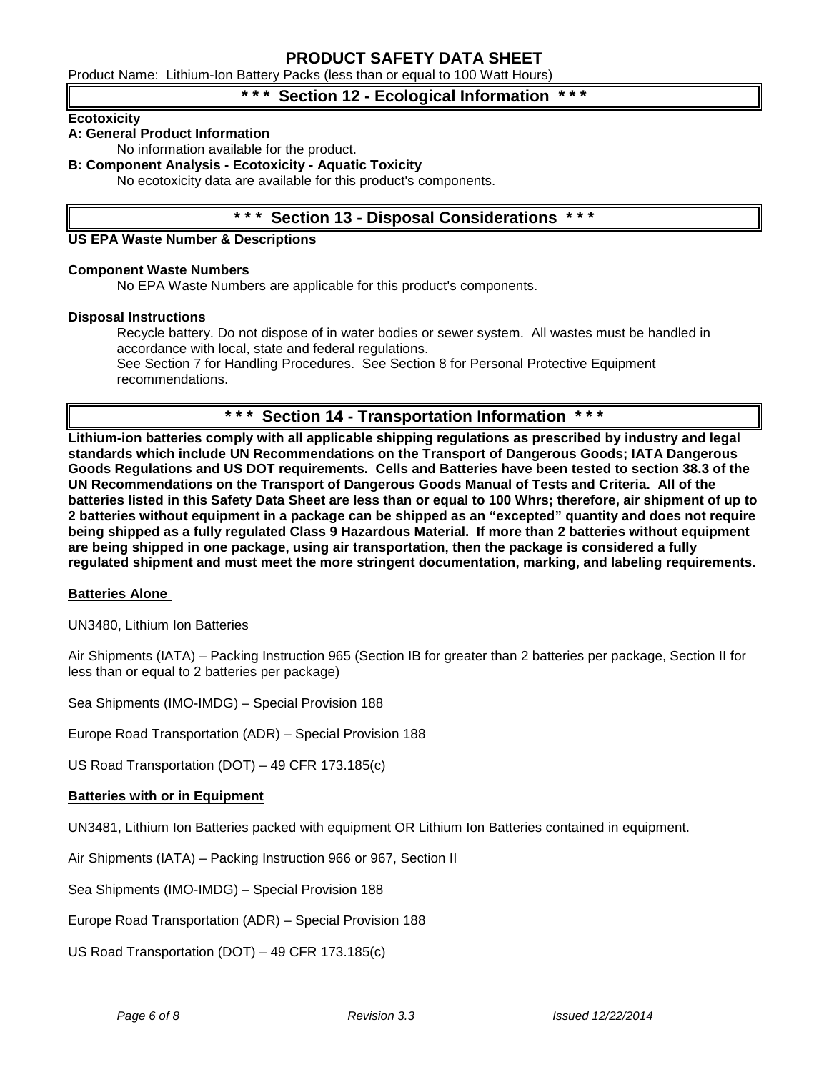Product Name: Lithium-Ion Battery Packs (less than or equal to 100 Watt Hours)

# **Section 12 - Ecological Information**

### **Ecotoxicity**

# **A: General Product Information**

No information available for the product.

### **B: Component Analysis - Ecotoxicity - Aquatic Toxicity**

No ecotoxicity data are available for this product's components.

# **\* \* \* Section 13 - Disposal Considerations \* \* \***

### **US EPA Waste Number & Descriptions**

#### **Component Waste Numbers**

No EPA Waste Numbers are applicable for this product's components.

#### **Disposal Instructions**

Recycle battery. Do not dispose of in water bodies or sewer system. All wastes must be handled in accordance with local, state and federal regulations.

See Section 7 for Handling Procedures. See Section 8 for Personal Protective Equipment recommendations.

### **\* \* \* Section 14 - Transportation Information \* \* \***

**Lithium-ion batteries comply with all applicable shipping regulations as prescribed by industry and legal standards which include UN Recommendations on the Transport of Dangerous Goods; IATA Dangerous Goods Regulations and US DOT requirements. Cells and Batteries have been tested to section 38.3 of the UN Recommendations on the Transport of Dangerous Goods Manual of Tests and Criteria. All of the batteries listed in this Safety Data Sheet are less than or equal to 100 Whrs; therefore, air shipment of up to 2 batteries without equipment in a package can be shipped as an "excepted" quantity and does not require being shipped as a fully regulated Class 9 Hazardous Material. If more than 2 batteries without equipment are being shipped in one package, using air transportation, then the package is considered a fully regulated shipment and must meet the more stringent documentation, marking, and labeling requirements.**

#### **Batteries Alone**

UN3480, Lithium Ion Batteries

Air Shipments (IATA) – Packing Instruction 965 (Section IB for greater than 2 batteries per package, Section II for less than or equal to 2 batteries per package)

Sea Shipments (IMO-IMDG) – Special Provision 188

Europe Road Transportation (ADR) – Special Provision 188

US Road Transportation (DOT) – 49 CFR 173.185(c)

#### **Batteries with or in Equipment**

UN3481, Lithium Ion Batteries packed with equipment OR Lithium Ion Batteries contained in equipment.

Air Shipments (IATA) – Packing Instruction 966 or 967, Section II

Sea Shipments (IMO-IMDG) – Special Provision 188

Europe Road Transportation (ADR) – Special Provision 188

US Road Transportation (DOT) – 49 CFR 173.185(c)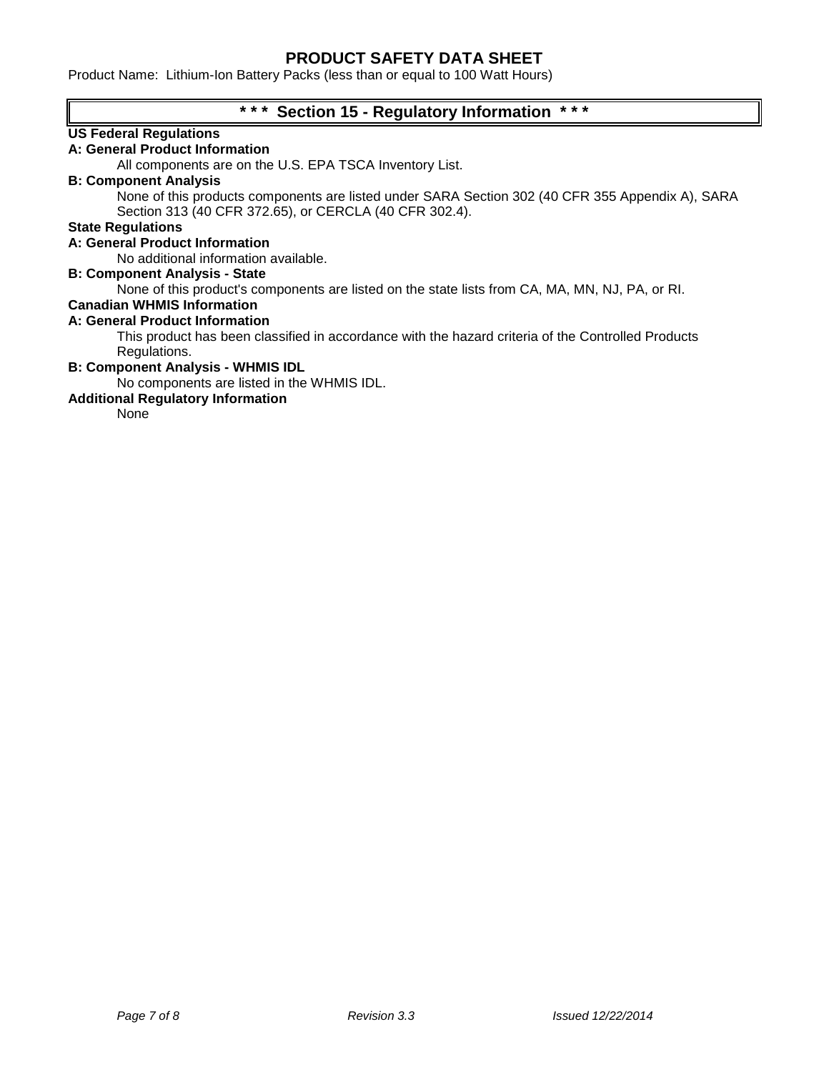Product Name: Lithium-Ion Battery Packs (less than or equal to 100 Watt Hours)

# **\* \* \* Section 15 - Regulatory Information \* \* \***

# **US Federal Regulations**

# **A: General Product Information**

All components are on the U.S. EPA TSCA Inventory List.

# **B: Component Analysis**

None of this products components are listed under SARA Section 302 (40 CFR 355 Appendix A), SARA Section 313 (40 CFR 372.65), or CERCLA (40 CFR 302.4).

### **State Regulations**

### **A: General Product Information**

No additional information available.

### **B: Component Analysis - State**

None of this product's components are listed on the state lists from CA, MA, MN, NJ, PA, or RI.

# **Canadian WHMIS Information**

### **A: General Product Information**

This product has been classified in accordance with the hazard criteria of the Controlled Products Regulations.

#### **B: Component Analysis - WHMIS IDL**

No components are listed in the WHMIS IDL.

### **Additional Regulatory Information**

None